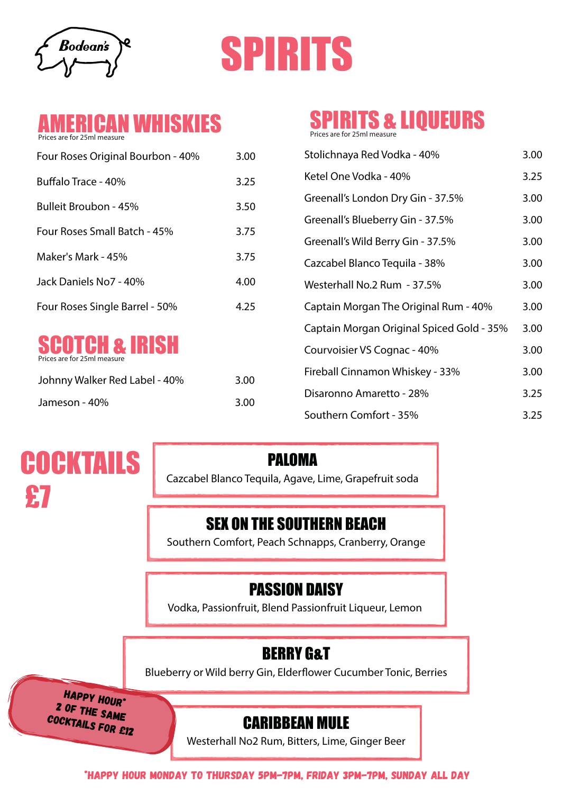Bodean's





| Four Roses Original Bourbon - 40% | 3.00 |
|-----------------------------------|------|
| Buffalo Trace - 40%               | 3.25 |
| Bulleit Broubon - 45%             | 3.50 |
| Four Roses Small Batch - 45%      | 3.75 |
| Maker's Mark - 45%                | 3.75 |
| Jack Daniels No7 - 40%            | 4.00 |
| Four Roses Single Barrel - 50%    | 4.25 |



| Johnny Walker Red Label - 40% | 3.00 |
|-------------------------------|------|
| Jameson - 40%                 | 3.00 |

# SPIRITS & LIQUEURS

Prices are for 25ml measure

| Four Roses Original Bourbon - 40%                        | 3.00 | Stolichnaya Red Vodka - 40%               | 3.00 |
|----------------------------------------------------------|------|-------------------------------------------|------|
| Buffalo Trace - 40%                                      | 3.25 | Ketel One Vodka - 40%                     | 3.25 |
| Bulleit Broubon - 45%                                    | 3.50 | Greenall's London Dry Gin - 37.5%         | 3.00 |
|                                                          |      | Greenall's Blueberry Gin - 37.5%          | 3.00 |
| Four Roses Small Batch - 45%                             | 3.75 | Greenall's Wild Berry Gin - 37.5%         | 3.00 |
| Maker's Mark - 45%                                       | 3.75 | Cazcabel Blanco Tequila - 38%             | 3.00 |
| Jack Daniels No7 - 40%                                   | 4.00 | Westerhall No.2 Rum - 37.5%               | 3.00 |
| Four Roses Single Barrel - 50%                           | 4.25 | Captain Morgan The Original Rum - 40%     | 3.00 |
|                                                          |      | Captain Morgan Original Spiced Gold - 35% | 3.00 |
| <b>SCOTCH &amp; IRISH</b><br>Prices are for 25ml measure |      | Courvoisier VS Cognac - 40%               | 3.00 |
| Johnny Walker Red Label - 40%                            | 3.00 | Fireball Cinnamon Whiskey - 33%           | 3.00 |
| Jameson - 40%                                            | 3.00 | Disaronno Amaretto - 28%                  | 3.25 |
|                                                          |      | Southern Comfort - 35%                    | 3.25 |

# **COCKTAILS** £7

PALOMA

Cazcabel Blanco Tequila, Agave, Lime, Grapefruit soda

## SEX ON THE SOUTHERN BEACH

Southern Comfort, Peach Schnapps, Cranberry, Orange

# PASSION DAISY

Vodka, Passionfruit, Blend Passionfruit Liqueur, Lemon

# BERRY G&T

Blueberry or Wild berry Gin, Elderflower Cucumber Tonic, Berries

HAPPY HOUR\* 2 of the same cocktails for £12

### CARIBBEAN MULE

Westerhall No2 Rum, Bitters, Lime, Ginger Beer

### \*HAPPY HOUR MONDAY TO THURSDAY 5PM-7PM, fRIDAY 3PM-7PM, SUNDAY ALL DAY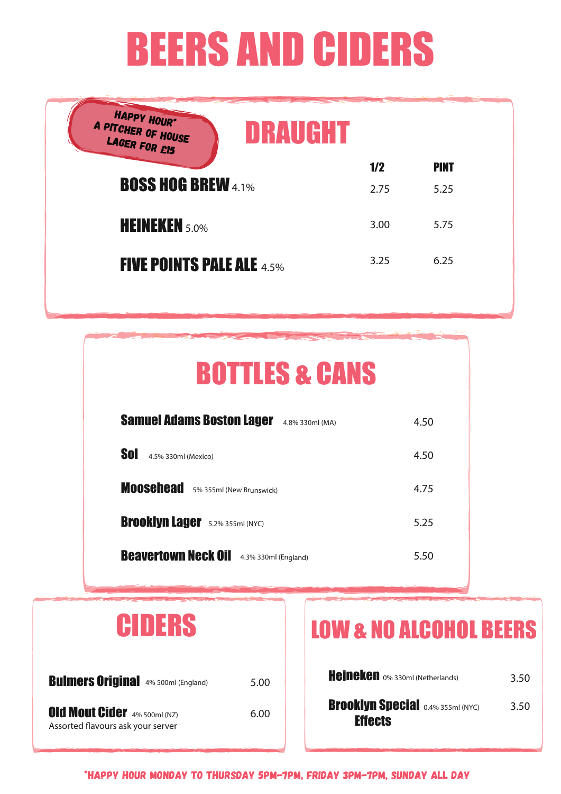# BEERS AND CIDERS

| HAPPY HOUR*<br>A PITCHER OF HOUSE<br>LAGER FOR £15<br>DRAUGHT |      |             |  |
|---------------------------------------------------------------|------|-------------|--|
|                                                               | 1/2  | <b>PINT</b> |  |
| <b>BOSS HOG BREW 4.1%</b>                                     | 2.75 | 5.25        |  |
| <b>HEINEKEN</b> 5.0%                                          | 3.00 | 5.75        |  |
| <b>FIVE POINTS PALE ALE 4.5%</b>                              | 3.25 | 6.25        |  |

| <b>BOTTLES &amp; CANS</b>                           |      |
|-----------------------------------------------------|------|
| <b>Samuel Adams Boston Lager</b><br>4.8% 330ml (MA) | 4.50 |
| Sol<br>4.5% 330ml (Mexico)                          | 4.50 |
| Moosehead 5% 355ml (New Brunswick)                  | 4.75 |
| <b>Brooklyn Lager</b> 5.2% 355ml (NYC)              | 5.25 |
| <b>Beavertown Neck Oil</b><br>4.3% 330ml (England)  | 5.50 |
|                                                     |      |

| CIDERS                                     |  |      |
|--------------------------------------------|--|------|
| <b>Bulmers Original</b> 4% 500ml (England) |  | 5.00 |

**Old Mout Cider** 4% 500ml (NZ) 6.00 Assorted flavours ask your server

# LOW & NO ALCOHOL BEERS

| Heineken 0% 330ml (Netherlands)                            | 3.50 |
|------------------------------------------------------------|------|
| <b>Brooklyn Special 0.4% 355ml (NYC)</b><br><b>Effects</b> | 3.50 |

\*HAPPY HOUR MONDAY TO THURSDAY 5PM-7PM, fRIDAY 3PM-7PM, SUNDAY ALL DAY